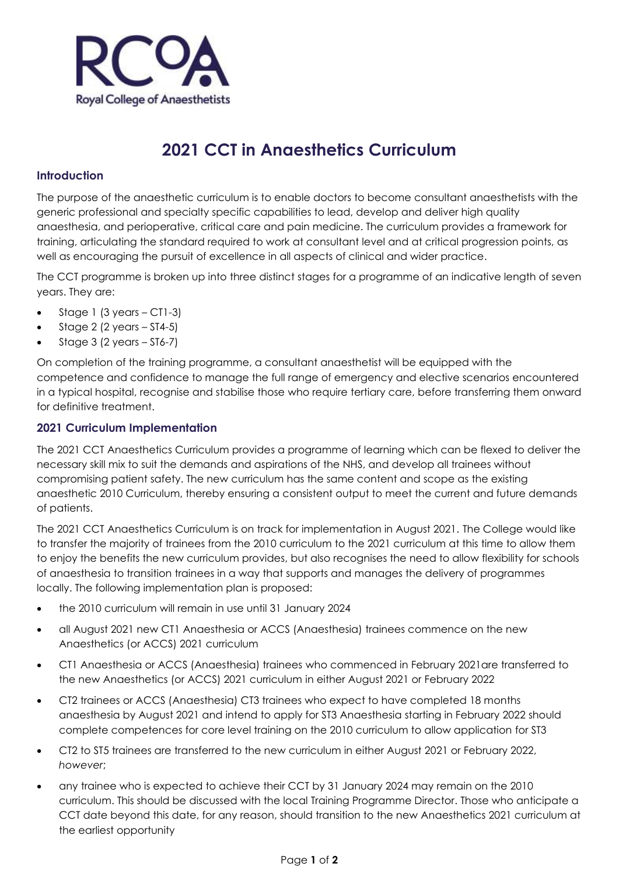

# **2021 CCT in Anaesthetics Curriculum**

## **Introduction**

The purpose of the anaesthetic curriculum is to enable doctors to become consultant anaesthetists with the generic professional and specialty specific capabilities to lead, develop and deliver high quality anaesthesia, and perioperative, critical care and pain medicine. The curriculum provides a framework for training, articulating the standard required to work at consultant level and at critical progression points, as well as encouraging the pursuit of excellence in all aspects of clinical and wider practice.

The CCT programme is broken up into three distinct stages for a programme of an indicative length of seven years. They are:

- Stage 1 (3 years  $-$  CT1-3)
- Stage  $2$  (2 years  $-$  ST4-5)
- Stage  $3$  (2 years  $-$  ST6-7)

On completion of the training programme, a consultant anaesthetist will be equipped with the competence and confidence to manage the full range of emergency and elective scenarios encountered in a typical hospital, recognise and stabilise those who require tertiary care, before transferring them onward for definitive treatment.

## **2021 Curriculum Implementation**

The 2021 CCT Anaesthetics Curriculum provides a programme of learning which can be flexed to deliver the necessary skill mix to suit the demands and aspirations of the NHS, and develop all trainees without compromising patient safety. The new curriculum has the same content and scope as the existing anaesthetic 2010 Curriculum, thereby ensuring a consistent output to meet the current and future demands of patients.

The 2021 CCT Anaesthetics Curriculum is on track for implementation in August 2021. The College would like to transfer the majority of trainees from the 2010 curriculum to the 2021 curriculum at this time to allow them to enjoy the benefits the new curriculum provides, but also recognises the need to allow flexibility for schools of anaesthesia to transition trainees in a way that supports and manages the delivery of programmes locally. The following implementation plan is proposed:

- the 2010 curriculum will remain in use until 31 January 2024
- all August 2021 new CT1 Anaesthesia or ACCS (Anaesthesia) trainees commence on the new Anaesthetics (or ACCS) 2021 curriculum
- CT1 Anaesthesia or ACCS (Anaesthesia) trainees who commenced in February 2021are transferred to the new Anaesthetics (or ACCS) 2021 curriculum in either August 2021 or February 2022
- CT2 trainees or ACCS (Anaesthesia) CT3 trainees who expect to have completed 18 months anaesthesia by August 2021 and intend to apply for ST3 Anaesthesia starting in February 2022 should complete competences for core level training on the 2010 curriculum to allow application for ST3
- CT2 to ST5 trainees are transferred to the new curriculum in either August 2021 or February 2022, *however*;
- any trainee who is expected to achieve their CCT by 31 January 2024 may remain on the 2010 curriculum. This should be discussed with the local Training Programme Director. Those who anticipate a CCT date beyond this date, for any reason, should transition to the new Anaesthetics 2021 curriculum at the earliest opportunity